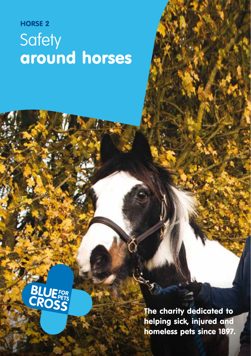# HORSE 2 **Safety** around horses



The charity dedicated to helping sick, injured and homeless pets since 1897.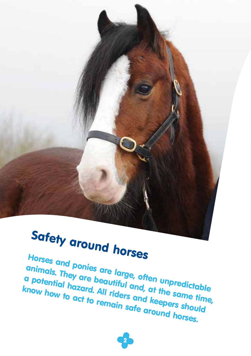# Safety around horses

Horses and ponies are large, often unpredictable animals. They are beautiful and, at the same time, a potential hazard. All riders and keepers should know how to act to remain safe around horses.

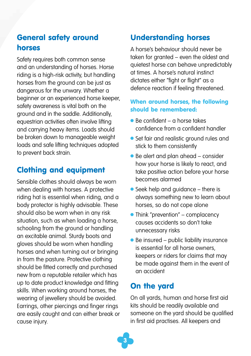#### General safety around horses

Safety requires both common sense and an understanding of horses. Horse riding is a high-risk activity, but handling horses from the ground can be just as dangerous for the unwary. Whether a beginner or an experienced horse keeper, safety awareness is vital both on the ground and in the saddle. Additionally, equestrian activities often involve lifting and carrying heavy items. Loads should be broken down to manageable weight loads and safe lifting techniques adopted to prevent back strain.

## Clothing and equipment

Sensible clothes should always be worn when dealing with horses. A protective riding hat is essential when riding, and a body protector is highly advisable. These should also be worn when in any risk situation, such as when loading a horse, schooling from the ground or handling an excitable animal. Sturdy boots and gloves should be worn when handling horses and when turning out or bringing in from the pasture. Protective clothing should be fitted correctly and purchased new from a reputable retailer which has up to date product knowledge and fitting skills. When working around horses, the wearing of jewellery should be avoided. Earrings, other piercings and finger rings are easily caught and can either break or cause injury.

## Understanding horses

A horse's behaviour should never be taken for granted – even the oldest and quietest horse can behave unpredictably at times. A horse's natural instinct dictates either "fight or flight" as a defence reaction if feeling threatened.

#### When around horses, the following should be remembered:

- $\bullet$  Be confident a horse takes confidence from a confident handler
- Set fair and realistic ground rules and stick to them consistently
- Be alert and plan ahead consider how your horse is likely to react, and take positive action before your horse becomes alarmed
- Seek help and guidance there is always something new to learn about horses, so do not cope alone
- Think "prevention" complacency causes accidents so don't take unnecessary risks
- Be insured public liability insurance is essential for all horse owners, keepers or riders for claims that may be made against them in the event of an accident

#### On the yard

On all yards, human and horse first aid kits should be readily available and someone on the yard should be qualified in first aid practises. All keepers and

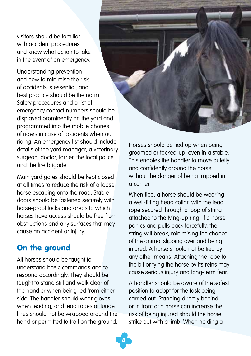visitors should be familiar with accident procedures and know what action to take in the event of an emergency.

Understanding prevention and how to minimise the risk of accidents is essential, and best practice should be the norm. Safety procedures and a list of emergency contact numbers should be displayed prominently on the yard and programmed into the mobile phones of riders in case of accidents when out riding. An emergency list should include details of the yard manager, a veterinary surgeon, doctor, farrier, the local police and the fire brigade.

Main yard gates should be kept closed at all times to reduce the risk of a loose horse escaping onto the road. Stable doors should be fastened securely with horse-proof locks and areas to which horses have access should be free from obstructions and any surfaces that may cause an accident or injury.

#### On the ground

All horses should be taught to understand basic commands and to respond accordingly. They should be taught to stand still and walk clear of the handler when being led from either side. The handler should wear gloves when leading, and lead ropes or lunge lines should not be wrapped around the hand or permitted to trail on the ground.



Horses should be tied up when being groomed or tacked-up, even in a stable. This enables the handler to move quietly and confidently around the horse, without the danger of being trapped in a corner.

When tied, a horse should be wearing a well-fitting head collar, with the lead rope secured through a loop of string attached to the tying-up ring. If a horse panics and pulls back forcefully, the string will break, minimising the chance of the animal slipping over and being injured. A horse should not be tied by any other means. Attaching the rope to the bit or tying the horse by its reins may cause serious injury and long-term fear.

A handler should be aware of the safest position to adopt for the task being carried out. Standing directly behind or in front of a horse can increase the risk of being injured should the horse strike out with a limb. When holding a

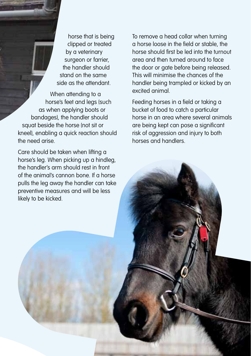horse that is being clipped or treated by a veterinary surgeon or farrier, the handler should stand on the same side as the attendant.

When attending to a horse's feet and legs (such as when applying boots or bandages), the handler should squat beside the horse (not sit or kneel), enabling a quick reaction should the need arise.

Care should be taken when lifting a horse's leg. When picking up a hindleg, the handler's arm should rest in front of the animal's cannon bone. If a horse pulls the leg away the handler can take preventive measures and will be less likely to be kicked.

To remove a head collar when turning a horse loose in the field or stable, the horse should first be led into the turnout area and then turned around to face the door or gate before being released. This will minimise the chances of the handler being trampled or kicked by an excited animal.

Feeding horses in a field or taking a bucket of food to catch a particular horse in an area where several animals are being kept can pose a significant risk of aggression and injury to both horses and handlers.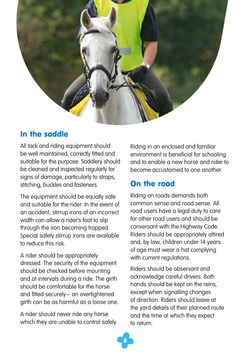

#### In the saddle

All tack and riding equipment should be well maintained, correctly fitted and suitable for the purpose. Saddlery should be cleaned and inspected regularly for signs of damage, particularly to straps, stitching, buckles and fasteners.

The equipment should be equally safe and suitable for the rider. In the event of an accident, stirrup irons of an incorrect width can allow a rider's foot to slip through the iron becoming trapped. Special safety stirrup irons are available to reduce this risk.

A rider should be appropriately dressed. The security of the equipment should be checked before mounting and at intervals during a ride. The girth should be comfortable for the horse and fitted securely – an overtightened girth can be as harmful as a loose one.

A rider should never ride any horse which they are unable to control safely. Riding in an enclosed and familiar environment is beneficial for schooling and to enable a new horse and rider to become accustomed to one another.

## On the road

Riding on roads demands both common sense and road sense. All road users have a legal duty to care for other road users and should be conversant with the Highway Code. Riders should be appropriately attired and, by law, children under 14 years of age must wear a hat complying with current regulations.

Riders should be observant and acknowledge careful drivers. Both hands should be kept on the reins, except when signalling changes of direction. Riders should leave at the yard details of their planned route and the time at which they expect to return.

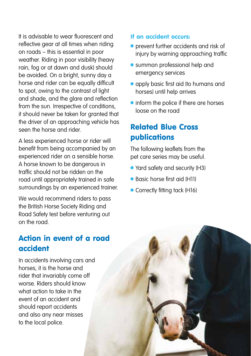It is advisable to wear fluorescent and reflective gear at all times when riding on roads – this is essential in poor weather. Riding in poor visibility (heavy rain, fog or at dawn and dusk) should be avoided. On a bright, sunny day a horse and rider can be equally difficult to spot, owing to the contrast of light and shade, and the glare and reflection from the sun. Irrespective of conditions, it should never be taken for granted that the driver of an approaching vehicle has seen the horse and rider.

A less experienced horse or rider will benefit from being accompanied by an experienced rider on a sensible horse. A horse known to be dangerous in traffic should not be ridden on the road until appropriately trained in safe surroundings by an experienced trainer.

We would recommend riders to pass the British Horse Society Riding and Road Safety test before venturing out on the road.

#### Action in event of a road accident

In accidents involving cars and horses, it is the horse and rider that invariably come off worse. Riders should know what action to take in the event of an accident and should report accidents and also any near misses to the local police.

#### If an accident occurs:

- **•** prevent further accidents and risk of injury by warning approaching traffic
- summon professional help and emergency services
- apply basic first aid (to humans and horses) until help arrives
- inform the police if there are horses loose on the road

#### Related Blue Cross publications

The following leaflets from the pet care series may be useful.

- Yard safety and security (H3)
- Basic horse first aid (H11)
- Correctly fitting tack (H16)